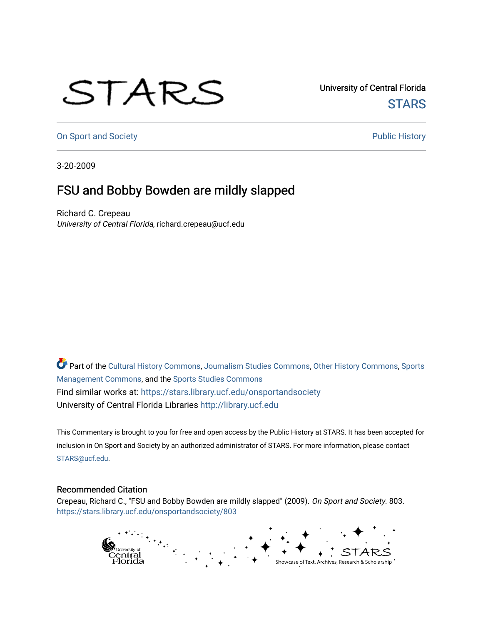## STARS

University of Central Florida **STARS** 

[On Sport and Society](https://stars.library.ucf.edu/onsportandsociety) **Public History** Public History

3-20-2009

## FSU and Bobby Bowden are mildly slapped

Richard C. Crepeau University of Central Florida, richard.crepeau@ucf.edu

Part of the [Cultural History Commons](http://network.bepress.com/hgg/discipline/496?utm_source=stars.library.ucf.edu%2Fonsportandsociety%2F803&utm_medium=PDF&utm_campaign=PDFCoverPages), [Journalism Studies Commons,](http://network.bepress.com/hgg/discipline/333?utm_source=stars.library.ucf.edu%2Fonsportandsociety%2F803&utm_medium=PDF&utm_campaign=PDFCoverPages) [Other History Commons,](http://network.bepress.com/hgg/discipline/508?utm_source=stars.library.ucf.edu%2Fonsportandsociety%2F803&utm_medium=PDF&utm_campaign=PDFCoverPages) [Sports](http://network.bepress.com/hgg/discipline/1193?utm_source=stars.library.ucf.edu%2Fonsportandsociety%2F803&utm_medium=PDF&utm_campaign=PDFCoverPages) [Management Commons](http://network.bepress.com/hgg/discipline/1193?utm_source=stars.library.ucf.edu%2Fonsportandsociety%2F803&utm_medium=PDF&utm_campaign=PDFCoverPages), and the [Sports Studies Commons](http://network.bepress.com/hgg/discipline/1198?utm_source=stars.library.ucf.edu%2Fonsportandsociety%2F803&utm_medium=PDF&utm_campaign=PDFCoverPages) Find similar works at: <https://stars.library.ucf.edu/onsportandsociety> University of Central Florida Libraries [http://library.ucf.edu](http://library.ucf.edu/) 

This Commentary is brought to you for free and open access by the Public History at STARS. It has been accepted for inclusion in On Sport and Society by an authorized administrator of STARS. For more information, please contact [STARS@ucf.edu](mailto:STARS@ucf.edu).

## Recommended Citation

Crepeau, Richard C., "FSU and Bobby Bowden are mildly slapped" (2009). On Sport and Society. 803. [https://stars.library.ucf.edu/onsportandsociety/803](https://stars.library.ucf.edu/onsportandsociety/803?utm_source=stars.library.ucf.edu%2Fonsportandsociety%2F803&utm_medium=PDF&utm_campaign=PDFCoverPages)

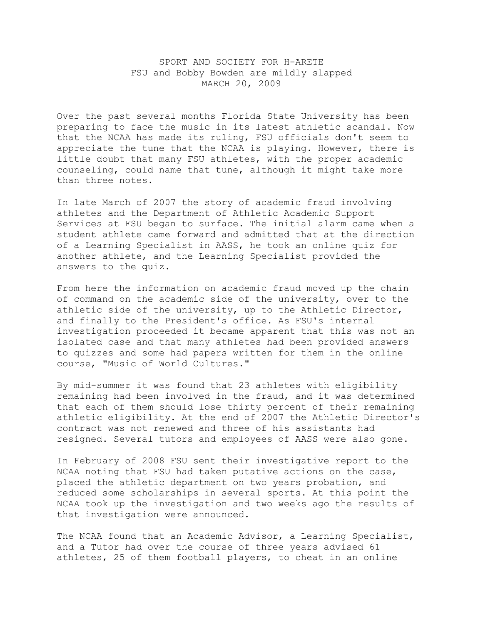## SPORT AND SOCIETY FOR H-ARETE FSU and Bobby Bowden are mildly slapped MARCH 20, 2009

Over the past several months Florida State University has been preparing to face the music in its latest athletic scandal. Now that the NCAA has made its ruling, FSU officials don't seem to appreciate the tune that the NCAA is playing. However, there is little doubt that many FSU athletes, with the proper academic counseling, could name that tune, although it might take more than three notes.

In late March of 2007 the story of academic fraud involving athletes and the Department of Athletic Academic Support Services at FSU began to surface. The initial alarm came when a student athlete came forward and admitted that at the direction of a Learning Specialist in AASS, he took an online quiz for another athlete, and the Learning Specialist provided the answers to the quiz.

From here the information on academic fraud moved up the chain of command on the academic side of the university, over to the athletic side of the university, up to the Athletic Director, and finally to the President's office. As FSU's internal investigation proceeded it became apparent that this was not an isolated case and that many athletes had been provided answers to quizzes and some had papers written for them in the online course, "Music of World Cultures."

By mid-summer it was found that 23 athletes with eligibility remaining had been involved in the fraud, and it was determined that each of them should lose thirty percent of their remaining athletic eligibility. At the end of 2007 the Athletic Director's contract was not renewed and three of his assistants had resigned. Several tutors and employees of AASS were also gone.

In February of 2008 FSU sent their investigative report to the NCAA noting that FSU had taken putative actions on the case, placed the athletic department on two years probation, and reduced some scholarships in several sports. At this point the NCAA took up the investigation and two weeks ago the results of that investigation were announced.

The NCAA found that an Academic Advisor, a Learning Specialist, and a Tutor had over the course of three years advised 61 athletes, 25 of them football players, to cheat in an online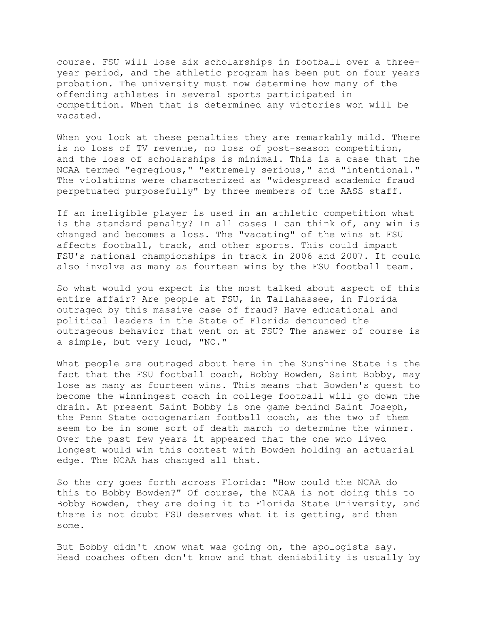course. FSU will lose six scholarships in football over a threeyear period, and the athletic program has been put on four years probation. The university must now determine how many of the offending athletes in several sports participated in competition. When that is determined any victories won will be vacated.

When you look at these penalties they are remarkably mild. There is no loss of TV revenue, no loss of post-season competition, and the loss of scholarships is minimal. This is a case that the NCAA termed "egregious," "extremely serious," and "intentional." The violations were characterized as "widespread academic fraud perpetuated purposefully" by three members of the AASS staff.

If an ineligible player is used in an athletic competition what is the standard penalty? In all cases I can think of, any win is changed and becomes a loss. The "vacating" of the wins at FSU affects football, track, and other sports. This could impact FSU's national championships in track in 2006 and 2007. It could also involve as many as fourteen wins by the FSU football team.

So what would you expect is the most talked about aspect of this entire affair? Are people at FSU, in Tallahassee, in Florida outraged by this massive case of fraud? Have educational and political leaders in the State of Florida denounced the outrageous behavior that went on at FSU? The answer of course is a simple, but very loud, "NO."

What people are outraged about here in the Sunshine State is the fact that the FSU football coach, Bobby Bowden, Saint Bobby, may lose as many as fourteen wins. This means that Bowden's quest to become the winningest coach in college football will go down the drain. At present Saint Bobby is one game behind Saint Joseph, the Penn State octogenarian football coach, as the two of them seem to be in some sort of death march to determine the winner. Over the past few years it appeared that the one who lived longest would win this contest with Bowden holding an actuarial edge. The NCAA has changed all that.

So the cry goes forth across Florida: "How could the NCAA do this to Bobby Bowden?" Of course, the NCAA is not doing this to Bobby Bowden, they are doing it to Florida State University, and there is not doubt FSU deserves what it is getting, and then some.

But Bobby didn't know what was going on, the apologists say. Head coaches often don't know and that deniability is usually by